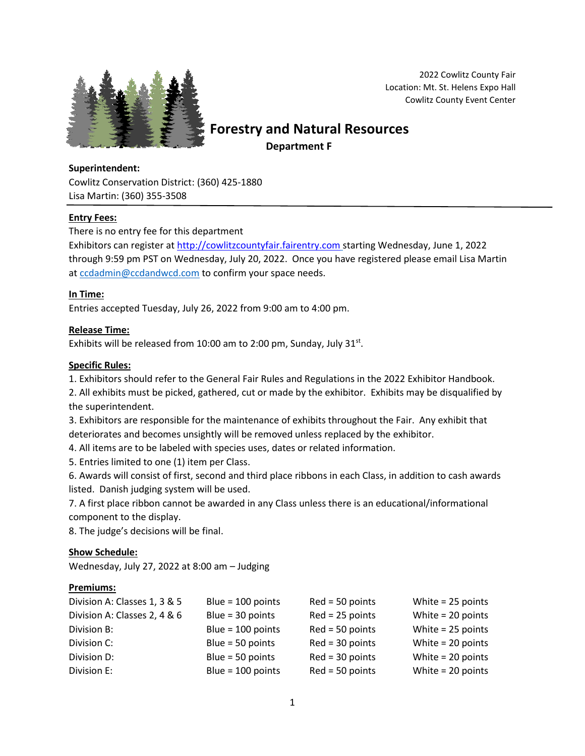

2022 Cowlitz County Fair Location: Mt. St. Helens Expo Hall Cowlitz County Event Center

 **Forestry and Natural Resources**

 **Department F**

# **Superintendent:**

Cowlitz Conservation District: (360) 425-1880 Lisa Martin: (360) 355-3508

## **Entry Fees:**

There is no entry fee for this department

Exhibitors can register at [http://cowlitzcountyfair.fairentry.com](http://cowlitzcountyfair.fairentry.com/) starting Wednesday, June 1, 2022 through 9:59 pm PST on Wednesday, July 20, 2022. Once you have registered please email Lisa Martin a[t ccdadmin@ccdandwcd.com](mailto:ccdadmin@ccdandwcd.com) to confirm your space needs.

## **In Time:**

Entries accepted Tuesday, July 26, 2022 from 9:00 am to 4:00 pm.

## **Release Time:**

Exhibits will be released from  $10:00$  am to 2:00 pm, Sunday, July  $31^{st}$ .

#### **Specific Rules:**

1. Exhibitors should refer to the General Fair Rules and Regulations in the 2022 Exhibitor Handbook.

2. All exhibits must be picked, gathered, cut or made by the exhibitor. Exhibits may be disqualified by the superintendent.

3. Exhibitors are responsible for the maintenance of exhibits throughout the Fair. Any exhibit that deteriorates and becomes unsightly will be removed unless replaced by the exhibitor.

4. All items are to be labeled with species uses, dates or related information.

5. Entries limited to one (1) item per Class.

6. Awards will consist of first, second and third place ribbons in each Class, in addition to cash awards listed. Danish judging system will be used.

7. A first place ribbon cannot be awarded in any Class unless there is an educational/informational component to the display.

8. The judge's decisions will be final.

#### **Show Schedule:**

Wednesday, July 27, 2022 at 8:00 am – Judging

#### **Premiums:**

| Division A: Classes 1, 3 & 5 | Blue = $100$ points | $Red = 50$ points | White $= 25$ points |
|------------------------------|---------------------|-------------------|---------------------|
| Division A: Classes 2, 4 & 6 | Blue = $30$ points  | $Red = 25$ points | White $= 20$ points |
| Division B:                  | Blue = $100$ points | $Red = 50$ points | White $= 25$ points |
| Division C:                  | Blue = $50$ points  | $Red = 30$ points | White $= 20$ points |
| Division D:                  | Blue = $50$ points  | $Red = 30$ points | White $= 20$ points |
| Division E:                  | Blue = $100$ points | $Red = 50$ points | White $= 20$ points |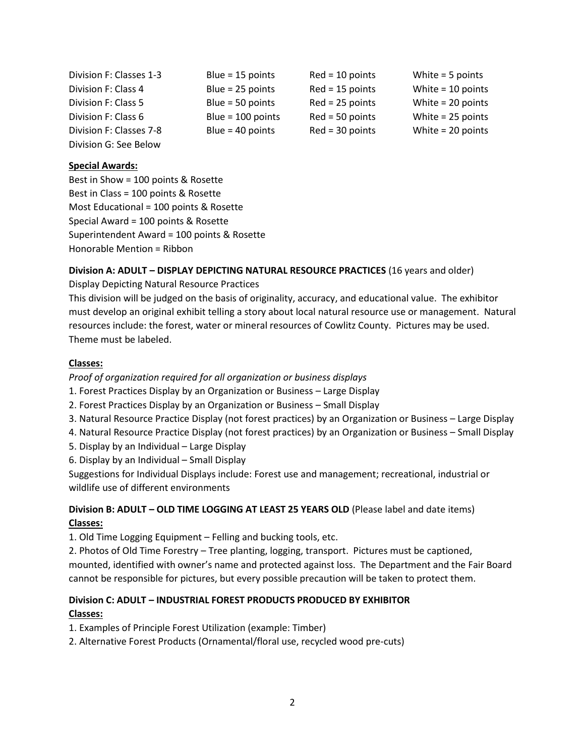| Division F: Classes 1-3 | Blue = $15$ points  | $Red = 10$ points | White $=$ 5 points  |
|-------------------------|---------------------|-------------------|---------------------|
| Division F: Class 4     | Blue = $25$ points  | $Red = 15$ points | White $= 10$ points |
| Division F: Class 5     | Blue = $50$ points  | $Red = 25$ points | White $= 20$ points |
| Division F: Class 6     | Blue = $100$ points | $Red = 50$ points | White $= 25$ points |
| Division F: Classes 7-8 | Blue = $40$ points  | $Red = 30$ points | White $= 20$ points |
| Division G: See Below   |                     |                   |                     |

#### **Special Awards:**

Best in Show = 100 points & Rosette Best in Class = 100 points & Rosette Most Educational = 100 points & Rosette Special Award = 100 points & Rosette Superintendent Award = 100 points & Rosette Honorable Mention = Ribbon

#### **Division A: ADULT – DISPLAY DEPICTING NATURAL RESOURCE PRACTICES** (16 years and older)

Display Depicting Natural Resource Practices

This division will be judged on the basis of originality, accuracy, and educational value. The exhibitor must develop an original exhibit telling a story about local natural resource use or management. Natural resources include: the forest, water or mineral resources of Cowlitz County. Pictures may be used. Theme must be labeled.

#### **Classes:**

*Proof of organization required for all organization or business displays*

- 1. Forest Practices Display by an Organization or Business Large Display
- 2. Forest Practices Display by an Organization or Business Small Display
- 3. Natural Resource Practice Display (not forest practices) by an Organization or Business Large Display
- 4. Natural Resource Practice Display (not forest practices) by an Organization or Business Small Display
- 5. Display by an Individual Large Display
- 6. Display by an Individual Small Display

Suggestions for Individual Displays include: Forest use and management; recreational, industrial or wildlife use of different environments

## **Division B: ADULT – OLD TIME LOGGING AT LEAST 25 YEARS OLD** (Please label and date items) **Classes:**

1. Old Time Logging Equipment – Felling and bucking tools, etc.

2. Photos of Old Time Forestry – Tree planting, logging, transport. Pictures must be captioned, mounted, identified with owner's name and protected against loss. The Department and the Fair Board cannot be responsible for pictures, but every possible precaution will be taken to protect them.

## **Division C: ADULT – INDUSTRIAL FOREST PRODUCTS PRODUCED BY EXHIBITOR**

## **Classes:**

1. Examples of Principle Forest Utilization (example: Timber)

2. Alternative Forest Products (Ornamental/floral use, recycled wood pre-cuts)